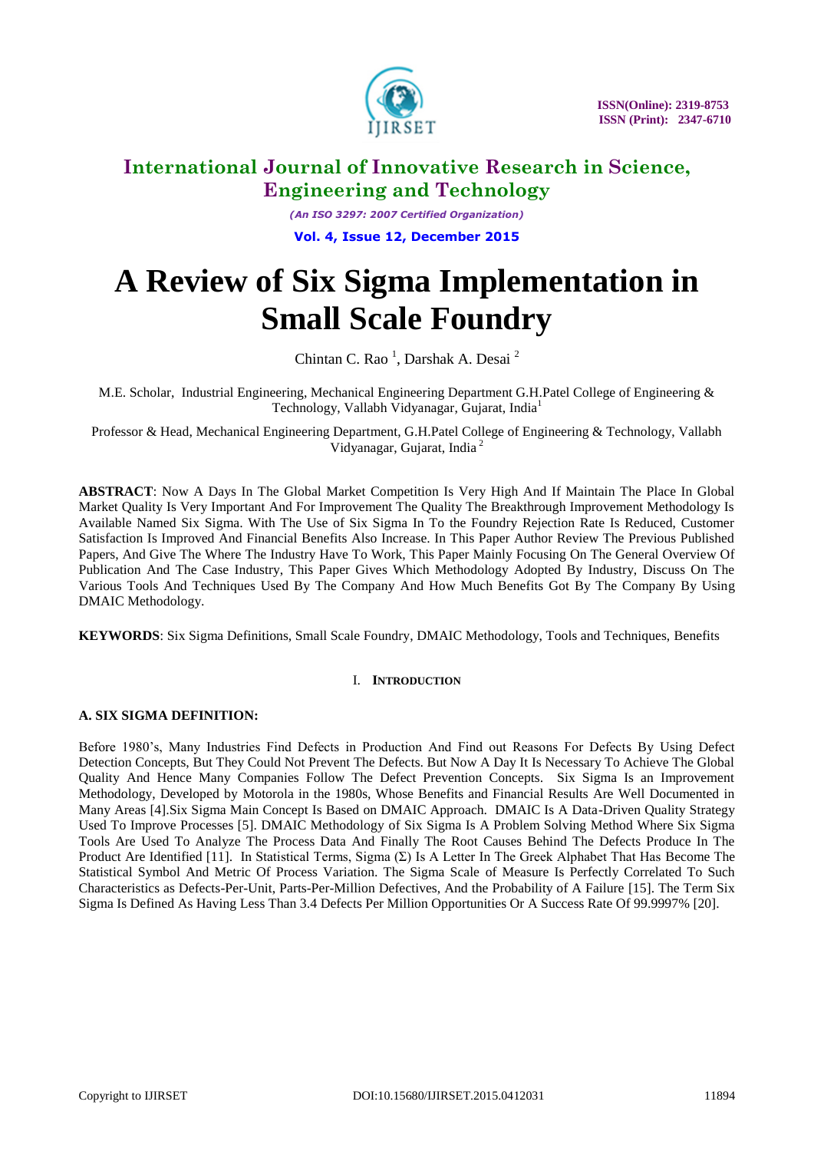

*(An ISO 3297: 2007 Certified Organization)* **Vol. 4, Issue 12, December 2015**

# **A Review of Six Sigma Implementation in Small Scale Foundry**

Chintan C. Rao<sup>1</sup>, Darshak A. Desai<sup>2</sup>

M.E. Scholar, Industrial Engineering, Mechanical Engineering Department G.H.Patel College of Engineering & Technology, Vallabh Vidyanagar, Gujarat, India<sup>1</sup>

Professor & Head, Mechanical Engineering Department, G.H.Patel College of Engineering & Technology, Vallabh Vidyanagar, Gujarat, India<sup>2</sup>

**ABSTRACT**: Now A Days In The Global Market Competition Is Very High And If Maintain The Place In Global Market Quality Is Very Important And For Improvement The Quality The Breakthrough Improvement Methodology Is Available Named Six Sigma. With The Use of Six Sigma In To the Foundry Rejection Rate Is Reduced, Customer Satisfaction Is Improved And Financial Benefits Also Increase. In This Paper Author Review The Previous Published Papers, And Give The Where The Industry Have To Work, This Paper Mainly Focusing On The General Overview Of Publication And The Case Industry, This Paper Gives Which Methodology Adopted By Industry, Discuss On The Various Tools And Techniques Used By The Company And How Much Benefits Got By The Company By Using DMAIC Methodology.

**KEYWORDS**: Six Sigma Definitions, Small Scale Foundry, DMAIC Methodology, Tools and Techniques, Benefits

### I. **INTRODUCTION**

### **A. SIX SIGMA DEFINITION:**

Before 1980's, Many Industries Find Defects in Production And Find out Reasons For Defects By Using Defect Detection Concepts, But They Could Not Prevent The Defects. But Now A Day It Is Necessary To Achieve The Global Quality And Hence Many Companies Follow The Defect Prevention Concepts. Six Sigma Is an Improvement Methodology, Developed by Motorola in the 1980s, Whose Benefits and Financial Results Are Well Documented in Many Areas [4].Six Sigma Main Concept Is Based on DMAIC Approach. DMAIC Is A Data-Driven Quality Strategy Used To Improve Processes [5]. DMAIC Methodology of Six Sigma Is A Problem Solving Method Where Six Sigma Tools Are Used To Analyze The Process Data And Finally The Root Causes Behind The Defects Produce In The Product Are Identified [11]. In Statistical Terms, Sigma (Σ) Is A Letter In The Greek Alphabet That Has Become The Statistical Symbol And Metric Of Process Variation. The Sigma Scale of Measure Is Perfectly Correlated To Such Characteristics as Defects-Per-Unit, Parts-Per-Million Defectives, And the Probability of A Failure [15]. The Term Six Sigma Is Defined As Having Less Than 3.4 Defects Per Million Opportunities Or A Success Rate Of 99.9997% [20].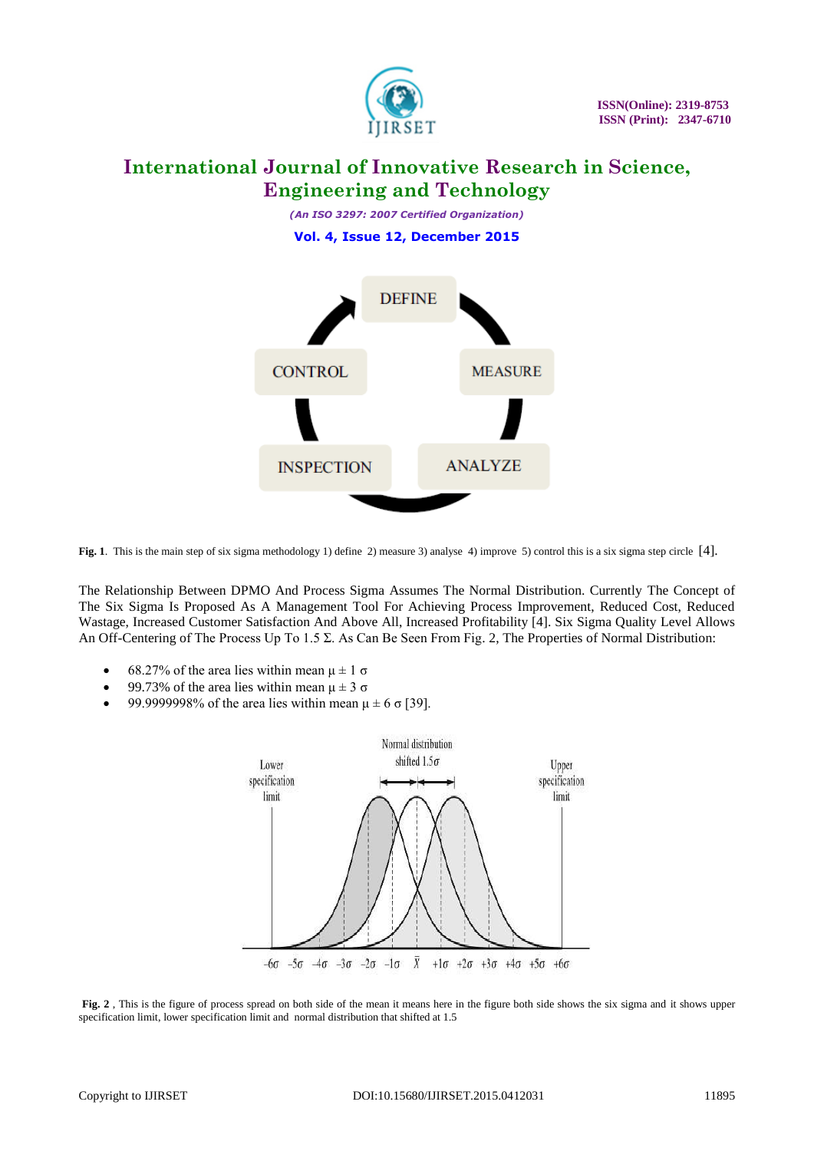

*(An ISO 3297: 2007 Certified Organization)* **Vol. 4, Issue 12, December 2015**



**Fig. 1**. This is the main step of six sigma methodology 1) define 2) measure 3) analyse 4) improve 5) control this is a six sigma step circle [4].

The Relationship Between DPMO And Process Sigma Assumes The Normal Distribution. Currently The Concept of The Six Sigma Is Proposed As A Management Tool For Achieving Process Improvement, Reduced Cost, Reduced Wastage, Increased Customer Satisfaction And Above All, Increased Profitability [4]. Six Sigma Quality Level Allows An Off-Centering of The Process Up To 1.5 Σ. As Can Be Seen From Fig. 2, The Properties of Normal Distribution:

- 68.27% of the area lies within mean  $\mu \pm 1 \sigma$
- 99.73% of the area lies within mean  $\mu \pm 3 \sigma$
- 99.9999998% of the area lies within mean  $\mu \pm 6 \sigma$  [39].



**Fig. 2** , This is the figure of process spread on both side of the mean it means here in the figure both side shows the six sigma and it shows upper specification limit, lower specification limit and normal distribution that shifted at 1.5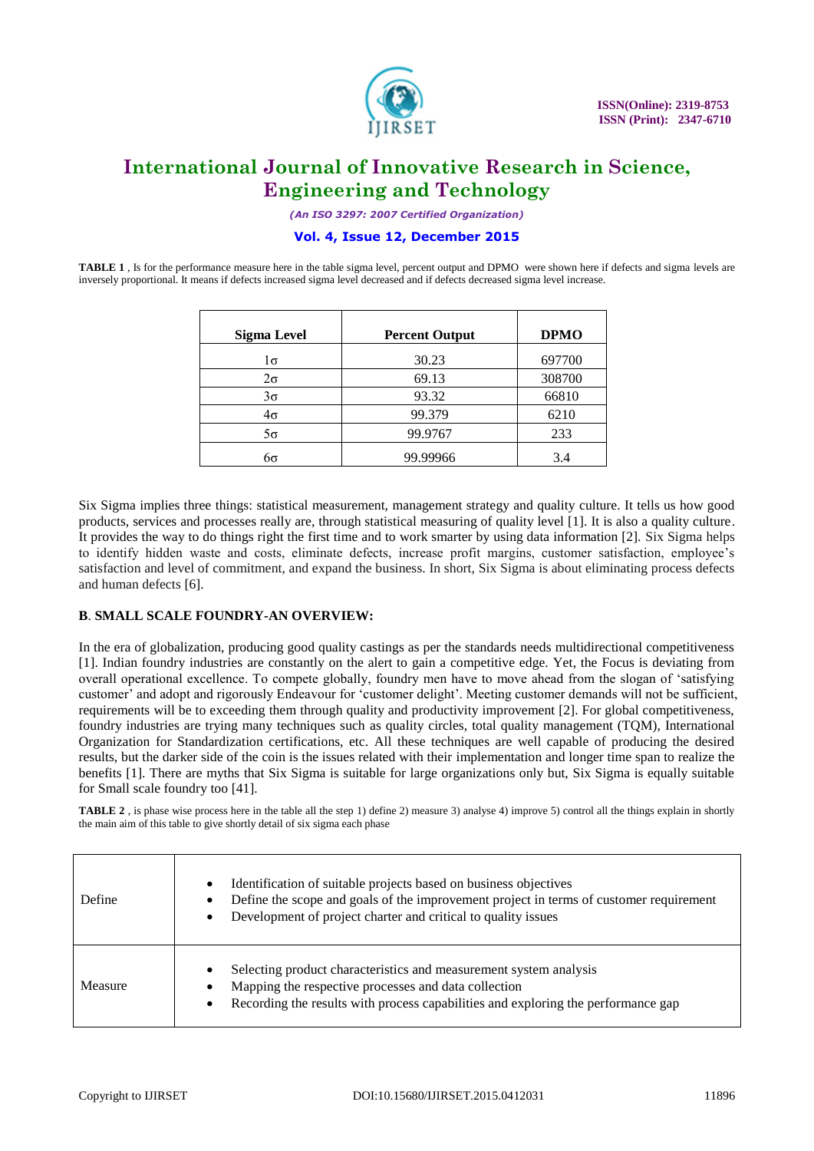

*(An ISO 3297: 2007 Certified Organization)*

### **Vol. 4, Issue 12, December 2015**

**TABLE 1** , Is for the performance measure here in the table sigma level, percent output and DPMO were shown here if defects and sigma levels are inversely proportional. It means if defects increased sigma level decreased and if defects decreased sigma level increase.

| Sigma Level | <b>Percent Output</b> | <b>DPMO</b> |
|-------------|-----------------------|-------------|
| 1σ          | 30.23                 | 697700      |
| $2\sigma$   | 69.13                 | 308700      |
| $3\sigma$   | 93.32                 | 66810       |
| $4\sigma$   | 99.379                | 6210        |
| $5\sigma$   | 99.9767               | 233         |
| რი          | 99.99966              | 3.4         |

Six Sigma implies three things: statistical measurement, management strategy and quality culture. It tells us how good products, services and processes really are, through statistical measuring of quality level [1]. It is also a quality culture. It provides the way to do things right the first time and to work smarter by using data information [2]. Six Sigma helps to identify hidden waste and costs, eliminate defects, increase profit margins, customer satisfaction, employee's satisfaction and level of commitment, and expand the business. In short, Six Sigma is about eliminating process defects and human defects [6].

### **B**. **SMALL SCALE FOUNDRY-AN OVERVIEW:**

In the era of globalization, producing good quality castings as per the standards needs multidirectional competitiveness [1]. Indian foundry industries are constantly on the alert to gain a competitive edge. Yet, the Focus is deviating from overall operational excellence. To compete globally, foundry men have to move ahead from the slogan of 'satisfying customer' and adopt and rigorously Endeavour for 'customer delight'. Meeting customer demands will not be sufficient, requirements will be to exceeding them through quality and productivity improvement [2]. For global competitiveness, foundry industries are trying many techniques such as quality circles, total quality management (TQM), International Organization for Standardization certifications, etc. All these techniques are well capable of producing the desired results, but the darker side of the coin is the issues related with their implementation and longer time span to realize the benefits [1]. There are myths that Six Sigma is suitable for large organizations only but, Six Sigma is equally suitable for Small scale foundry too [41].

**TABLE 2** , is phase wise process here in the table all the step 1) define 2) measure 3) analyse 4) improve 5) control all the things explain in shortly the main aim of this table to give shortly detail of six sigma each phase

| Define  | Identification of suitable projects based on business objectives<br>Define the scope and goals of the improvement project in terms of customer requirement<br>Development of project charter and critical to quality issues |
|---------|-----------------------------------------------------------------------------------------------------------------------------------------------------------------------------------------------------------------------------|
| Measure | Selecting product characteristics and measurement system analysis<br>Mapping the respective processes and data collection<br>Recording the results with process capabilities and exploring the performance gap              |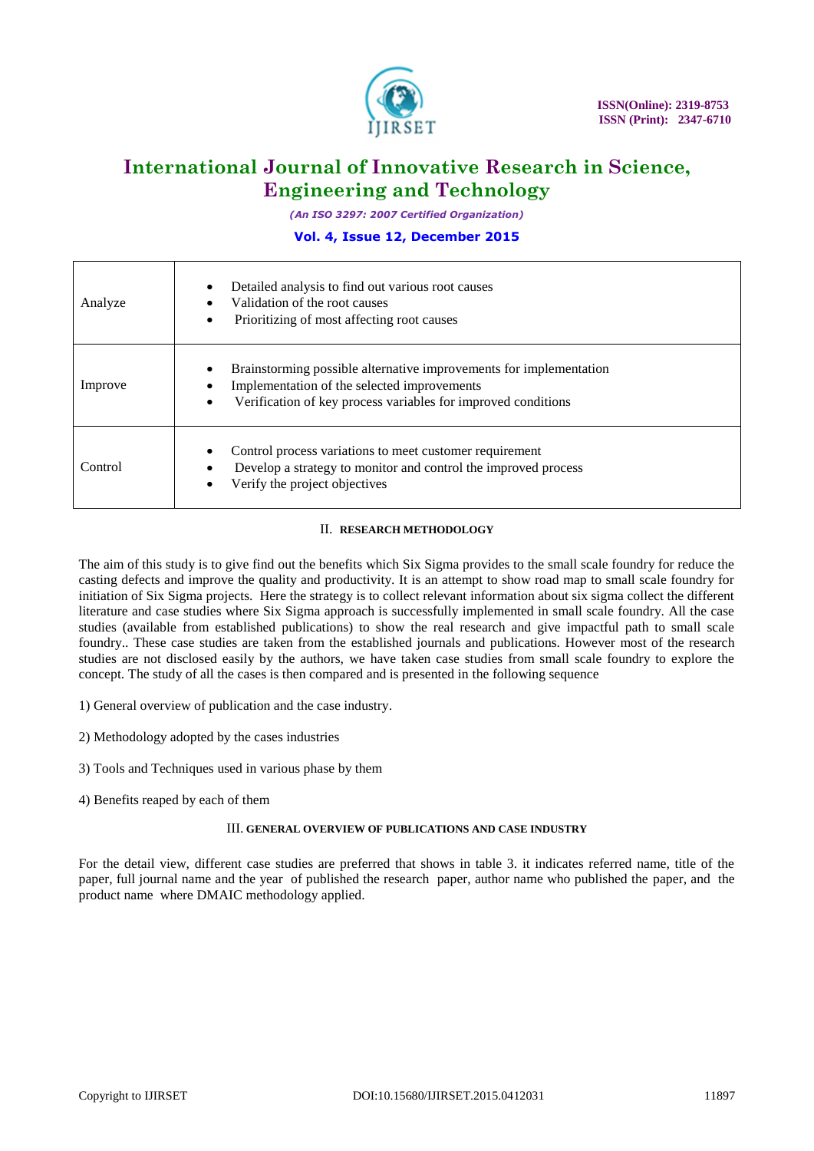

*(An ISO 3297: 2007 Certified Organization)*

### **Vol. 4, Issue 12, December 2015**

| Analyze | Detailed analysis to find out various root causes<br>Validation of the root causes<br>Prioritizing of most affecting root causes                                                        |
|---------|-----------------------------------------------------------------------------------------------------------------------------------------------------------------------------------------|
| Improve | Brainstorming possible alternative improvements for implementation<br>Implementation of the selected improvements<br>٠<br>Verification of key process variables for improved conditions |
| Control | Control process variations to meet customer requirement<br>Develop a strategy to monitor and control the improved process<br>Verify the project objectives                              |

### II. **RESEARCH METHODOLOGY**

The aim of this study is to give find out the benefits which Six Sigma provides to the small scale foundry for reduce the casting defects and improve the quality and productivity. It is an attempt to show road map to small scale foundry for initiation of Six Sigma projects. Here the strategy is to collect relevant information about six sigma collect the different literature and case studies where Six Sigma approach is successfully implemented in small scale foundry. All the case studies (available from established publications) to show the real research and give impactful path to small scale foundry.. These case studies are taken from the established journals and publications. However most of the research studies are not disclosed easily by the authors, we have taken case studies from small scale foundry to explore the concept. The study of all the cases is then compared and is presented in the following sequence

- 1) General overview of publication and the case industry.
- 2) Methodology adopted by the cases industries
- 3) Tools and Techniques used in various phase by them
- 4) Benefits reaped by each of them

### III. **GENERAL OVERVIEW OF PUBLICATIONS AND CASE INDUSTRY**

For the detail view, different case studies are preferred that shows in table 3. it indicates referred name, title of the paper, full journal name and the year of published the research paper, author name who published the paper, and the product name where DMAIC methodology applied.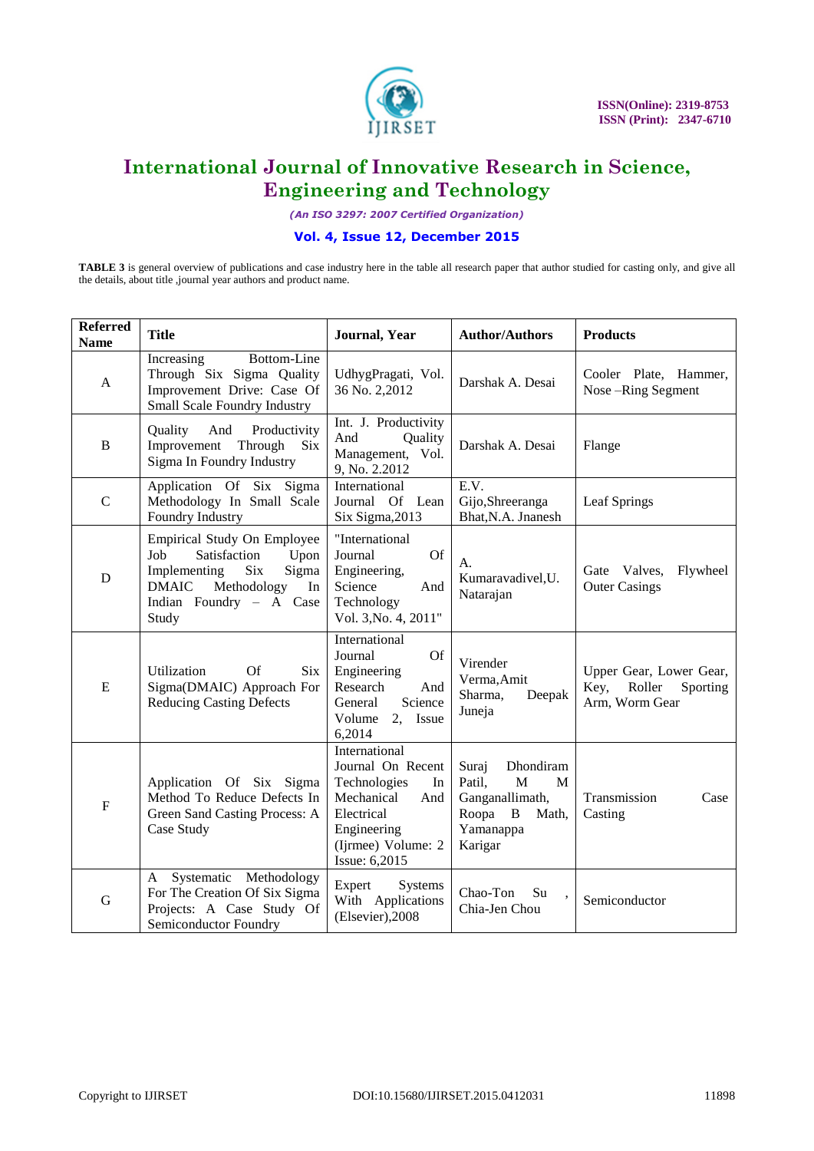

*(An ISO 3297: 2007 Certified Organization)*

### **Vol. 4, Issue 12, December 2015**

**TABLE 3** is general overview of publications and case industry here in the table all research paper that author studied for casting only, and give all the details, about title ,journal year authors and product name.

| <b>Referred</b><br><b>Name</b> | <b>Title</b>                                                                                                                                                               | Journal, Year                                                                                                                                     | <b>Author/Authors</b>                                                                                 | <b>Products</b>                                                         |  |  |
|--------------------------------|----------------------------------------------------------------------------------------------------------------------------------------------------------------------------|---------------------------------------------------------------------------------------------------------------------------------------------------|-------------------------------------------------------------------------------------------------------|-------------------------------------------------------------------------|--|--|
| $\mathbf{A}$                   | Bottom-Line<br>Increasing<br>Through Six Sigma Quality<br>Improvement Drive: Case Of<br>Small Scale Foundry Industry                                                       | UdhygPragati, Vol.<br>36 No. 2,2012                                                                                                               | Darshak A. Desai                                                                                      | Cooler Plate, Hammer,<br>Nose-Ring Segment                              |  |  |
| B                              | And Productivity<br>Quality<br>Improvement Through<br>Six<br>Sigma In Foundry Industry                                                                                     | Int. J. Productivity<br>And<br>Quality<br>Management, Vol.<br>9, No. 2.2012                                                                       | Darshak A. Desai                                                                                      | Flange                                                                  |  |  |
| $\mathbf C$                    | Application Of Six Sigma<br>Methodology In Small Scale<br>Foundry Industry                                                                                                 | International<br>Journal Of Lean<br>Six Sigma, 2013                                                                                               | E.V.<br>Gijo, Shreeranga<br>Bhat, N.A. Jnanesh                                                        | Leaf Springs                                                            |  |  |
| D                              | <b>Empirical Study On Employee</b><br>Job<br>Satisfaction<br>Upon<br>Six<br>Sigma<br>Implementing<br>Methodology<br><b>DMAIC</b><br>In<br>Indian Foundry - A Case<br>Study | "International<br><b>Of</b><br>Journal<br>Engineering,<br>Science<br>And<br>Technology<br>Vol. 3, No. 4, 2011"                                    | А.<br>Kumaravadivel, U.<br>Natarajan                                                                  | Gate Valves,<br>Flywheel<br><b>Outer Casings</b>                        |  |  |
| E                              | <b>Of</b><br>Utilization<br><b>Six</b><br>Sigma(DMAIC) Approach For<br><b>Reducing Casting Defects</b>                                                                     | International<br><b>Of</b><br>Journal<br>Engineering<br>Research<br>And<br>Science<br>General<br>Volume<br>2, Issue<br>6,2014                     | Virender<br>Verma, Amit<br>Sharma,<br>Deepak<br>Juneja                                                | Upper Gear, Lower Gear,<br>Roller<br>Key,<br>Sporting<br>Arm, Worm Gear |  |  |
| ${\bf F}$                      | Application Of Six Sigma<br>Method To Reduce Defects In<br>Green Sand Casting Process: A<br>Case Study                                                                     | International<br>Journal On Recent<br>Technologies<br>In<br>Mechanical<br>And<br>Electrical<br>Engineering<br>(Ijrmee) Volume: 2<br>Issue: 6,2015 | Dhondiram<br>Suraj<br>M<br>Patil,<br>M<br>Ganganallimath,<br>Roopa B<br>Math,<br>Yamanappa<br>Karigar | Transmission<br>Case<br>Casting                                         |  |  |
| G                              | Systematic Methodology<br>A<br>For The Creation Of Six Sigma<br>Projects: A Case Study Of<br>Semiconductor Foundry                                                         | Expert<br>Systems<br>With Applications<br>(Elsevier), 2008                                                                                        | Chao-Ton<br>Su<br>Chia-Jen Chou                                                                       | Semiconductor                                                           |  |  |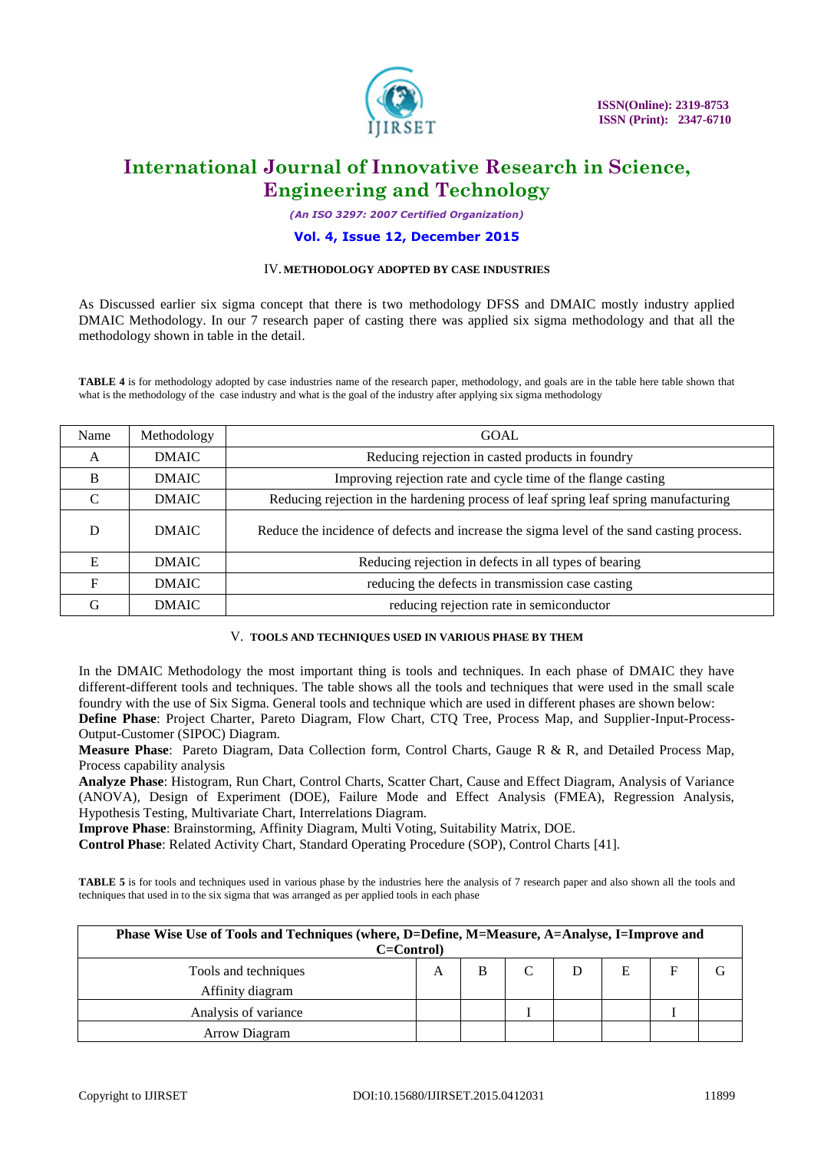

*(An ISO 3297: 2007 Certified Organization)*

#### **Vol. 4, Issue 12, December 2015**

#### IV. **METHODOLOGY ADOPTED BY CASE INDUSTRIES**

As Discussed earlier six sigma concept that there is two methodology DFSS and DMAIC mostly industry applied DMAIC Methodology. In our 7 research paper of casting there was applied six sigma methodology and that all the methodology shown in table in the detail.

**TABLE 4** is for methodology adopted by case industries name of the research paper, methodology, and goals are in the table here table shown that what is the methodology of the case industry and what is the goal of the industry after applying six sigma methodology

| Name          | Methodology  | <b>GOAL</b>                                                                               |
|---------------|--------------|-------------------------------------------------------------------------------------------|
| A             | <b>DMAIC</b> | Reducing rejection in casted products in foundry                                          |
| B             | <b>DMAIC</b> | Improving rejection rate and cycle time of the flange casting                             |
| $\mathcal{C}$ | <b>DMAIC</b> | Reducing rejection in the hardening process of leaf spring leaf spring manufacturing      |
| D             | <b>DMAIC</b> | Reduce the incidence of defects and increase the sigma level of the sand casting process. |
| E             | <b>DMAIC</b> | Reducing rejection in defects in all types of bearing                                     |
| F             | <b>DMAIC</b> | reducing the defects in transmission case casting                                         |
| G             | <b>DMAIC</b> | reducing rejection rate in semiconductor                                                  |

#### V. **TOOLS AND TECHNIQUES USED IN VARIOUS PHASE BY THEM**

In the DMAIC Methodology the most important thing is tools and techniques. In each phase of DMAIC they have different-different tools and techniques. The table shows all the tools and techniques that were used in the small scale foundry with the use of Six Sigma. General tools and technique which are used in different phases are shown below:

**Define Phase**: Project Charter, Pareto Diagram, Flow Chart, CTQ Tree, Process Map, and Supplier-Input-Process-Output-Customer (SIPOC) Diagram.

**Measure Phase**: Pareto Diagram, Data Collection form, Control Charts, Gauge R & R, and Detailed Process Map, Process capability analysis

**Analyze Phase**: Histogram, Run Chart, Control Charts, Scatter Chart, Cause and Effect Diagram, Analysis of Variance (ANOVA), Design of Experiment (DOE), Failure Mode and Effect Analysis (FMEA), Regression Analysis, Hypothesis Testing, Multivariate Chart, Interrelations Diagram.

**Improve Phase**: Brainstorming, Affinity Diagram, Multi Voting, Suitability Matrix, DOE.

**Control Phase**: Related Activity Chart, Standard Operating Procedure (SOP), Control Charts [41].

**TABLE 5** is for tools and techniques used in various phase by the industries here the analysis of 7 research paper and also shown all the tools and techniques that used in to the six sigma that was arranged as per applied tools in each phase

| Phase Wise Use of Tools and Techniques (where, D=Define, M=Measure, A=Analyse, I=Improve and<br>C=Control) |   |  |  |   |  |
|------------------------------------------------------------------------------------------------------------|---|--|--|---|--|
| Tools and techniques<br>Affinity diagram                                                                   | А |  |  | E |  |
| Analysis of variance                                                                                       |   |  |  |   |  |
| Arrow Diagram                                                                                              |   |  |  |   |  |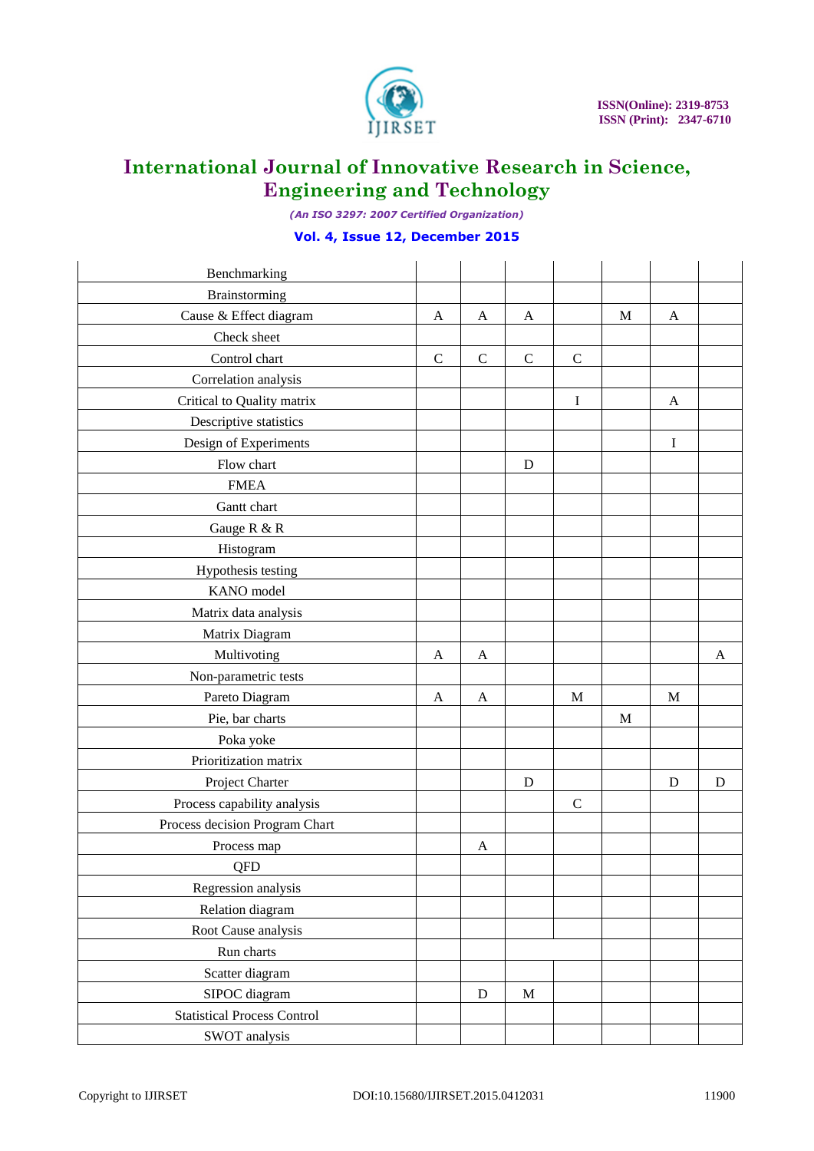

*(An ISO 3297: 2007 Certified Organization)*

### **Vol. 4, Issue 12, December 2015**

| Benchmarking                       |             |             |             |              |   |             |   |
|------------------------------------|-------------|-------------|-------------|--------------|---|-------------|---|
| Brainstorming                      |             |             |             |              |   |             |   |
| Cause & Effect diagram             | A           | A           | A           |              | M | A           |   |
| Check sheet                        |             |             |             |              |   |             |   |
| Control chart                      | $\mathsf C$ | $\mathbf C$ | $\mathbf C$ | $\mathsf{C}$ |   |             |   |
| Correlation analysis               |             |             |             |              |   |             |   |
| Critical to Quality matrix         |             |             |             | I            |   | A           |   |
| Descriptive statistics             |             |             |             |              |   |             |   |
| Design of Experiments              |             |             |             |              |   | I           |   |
| Flow chart                         |             |             | D           |              |   |             |   |
| <b>FMEA</b>                        |             |             |             |              |   |             |   |
| Gantt chart                        |             |             |             |              |   |             |   |
| Gauge R & R                        |             |             |             |              |   |             |   |
| Histogram                          |             |             |             |              |   |             |   |
| Hypothesis testing                 |             |             |             |              |   |             |   |
| KANO model                         |             |             |             |              |   |             |   |
| Matrix data analysis               |             |             |             |              |   |             |   |
| Matrix Diagram                     |             |             |             |              |   |             |   |
| Multivoting                        | A           | A           |             |              |   |             | A |
| Non-parametric tests               |             |             |             |              |   |             |   |
| Pareto Diagram                     | A           | A           |             | $\mathbf M$  |   | $\mathbf M$ |   |
| Pie, bar charts                    |             |             |             |              | M |             |   |
| Poka yoke                          |             |             |             |              |   |             |   |
| Prioritization matrix              |             |             |             |              |   |             |   |
| Project Charter                    |             |             | D           |              |   | D           | D |
| Process capability analysis        |             |             |             | $\mathbf C$  |   |             |   |
| Process decision Program Chart     |             |             |             |              |   |             |   |
| Process map                        |             | A           |             |              |   |             |   |
| QFD                                |             |             |             |              |   |             |   |
| Regression analysis                |             |             |             |              |   |             |   |
| Relation diagram                   |             |             |             |              |   |             |   |
| Root Cause analysis                |             |             |             |              |   |             |   |
| Run charts                         |             |             |             |              |   |             |   |
| Scatter diagram                    |             |             |             |              |   |             |   |
| SIPOC diagram                      |             | ${\bf D}$   | $\mathbf M$ |              |   |             |   |
| <b>Statistical Process Control</b> |             |             |             |              |   |             |   |
| SWOT analysis                      |             |             |             |              |   |             |   |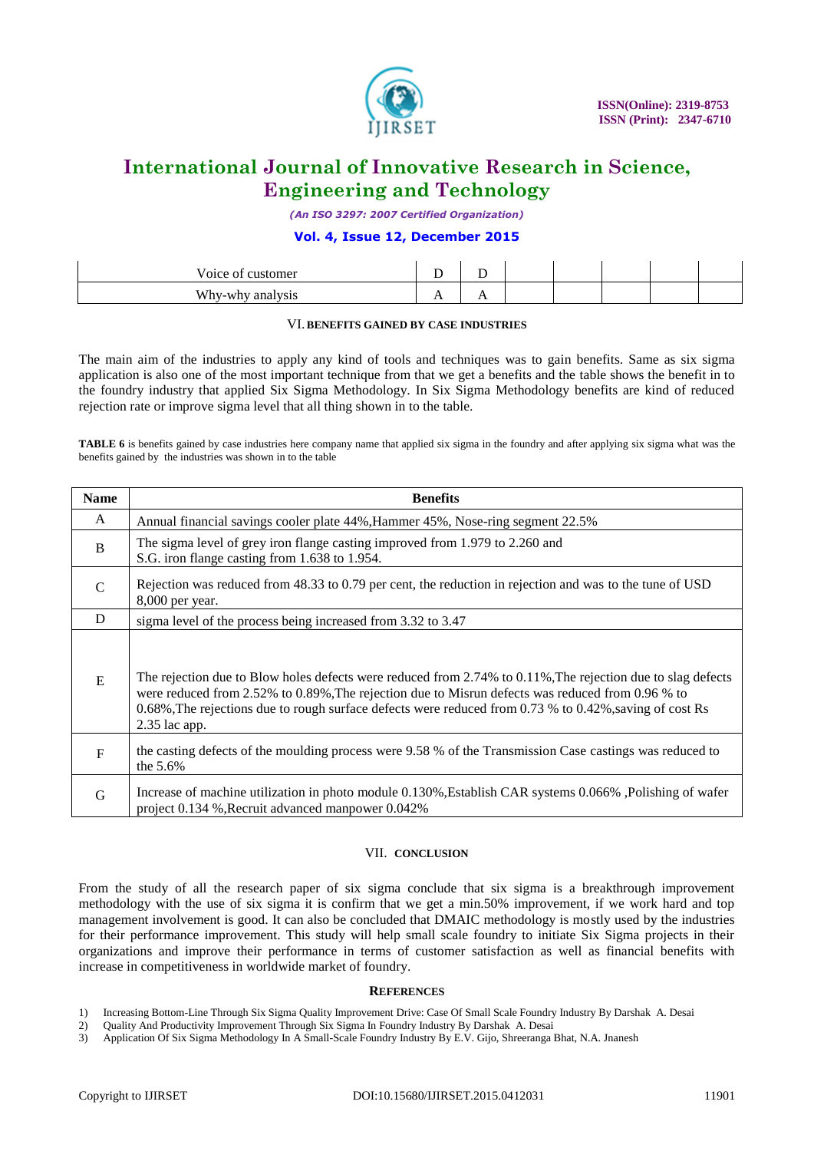

*(An ISO 3297: 2007 Certified Organization)*

### **Vol. 4, Issue 12, December 2015**

| Voice of customer          |                      |     |  |  |  |
|----------------------------|----------------------|-----|--|--|--|
| Why-wh<br>analysis<br>апаг | $\ddot{\phantom{1}}$ | . . |  |  |  |

### VI. **BENEFITS GAINED BY CASE INDUSTRIES**

The main aim of the industries to apply any kind of tools and techniques was to gain benefits. Same as six sigma application is also one of the most important technique from that we get a benefits and the table shows the benefit in to the foundry industry that applied Six Sigma Methodology. In Six Sigma Methodology benefits are kind of reduced rejection rate or improve sigma level that all thing shown in to the table.

**TABLE 6** is benefits gained by case industries here company name that applied six sigma in the foundry and after applying six sigma what was the benefits gained by the industries was shown in to the table

| <b>Name</b> | <b>Benefits</b>                                                                                                                                                                                                                                                                                                                               |
|-------------|-----------------------------------------------------------------------------------------------------------------------------------------------------------------------------------------------------------------------------------------------------------------------------------------------------------------------------------------------|
| A           | Annual financial savings cooler plate 44%, Hammer 45%, Nose-ring segment 22.5%                                                                                                                                                                                                                                                                |
| B           | The sigma level of grey iron flange casting improved from 1.979 to 2.260 and<br>S.G. iron flange casting from 1.638 to 1.954.                                                                                                                                                                                                                 |
| C           | Rejection was reduced from 48.33 to 0.79 per cent, the reduction in rejection and was to the tune of USD<br>$8,000$ per year.                                                                                                                                                                                                                 |
| D           | sigma level of the process being increased from 3.32 to 3.47                                                                                                                                                                                                                                                                                  |
| E           | The rejection due to Blow holes defects were reduced from 2.74% to 0.11%, The rejection due to slag defects<br>were reduced from 2.52% to 0.89%, The rejection due to Misrun defects was reduced from 0.96 % to<br>0.68%, The rejections due to rough surface defects were reduced from 0.73 % to 0.42%, saving of cost Rs<br>$2.35$ lac app. |
| F           | the casting defects of the moulding process were 9.58 % of the Transmission Case castings was reduced to<br>the 5.6%                                                                                                                                                                                                                          |
| G           | Increase of machine utilization in photo module 0.130%, Establish CAR systems 0.066%, Polishing of wafer<br>project 0.134 %, Recruit advanced manpower 0.042%                                                                                                                                                                                 |

### VII. **CONCLUSION**

From the study of all the research paper of six sigma conclude that six sigma is a breakthrough improvement methodology with the use of six sigma it is confirm that we get a min.50% improvement, if we work hard and top management involvement is good. It can also be concluded that DMAIC methodology is mostly used by the industries for their performance improvement. This study will help small scale foundry to initiate Six Sigma projects in their organizations and improve their performance in terms of customer satisfaction as well as financial benefits with increase in competitiveness in worldwide market of foundry.

#### **REFERENCES**

- 1) Increasing Bottom-Line Through Six Sigma Quality Improvement Drive: Case Of Small Scale Foundry Industry By Darshak A. Desai
- 2) Quality And Productivity Improvement Through Six Sigma In Foundry Industry By Darshak A. Desai
- 3) Application Of Six Sigma Methodology In A Small-Scale Foundry Industry By E.V. Gijo, Shreeranga Bhat, N.A. Jnanesh